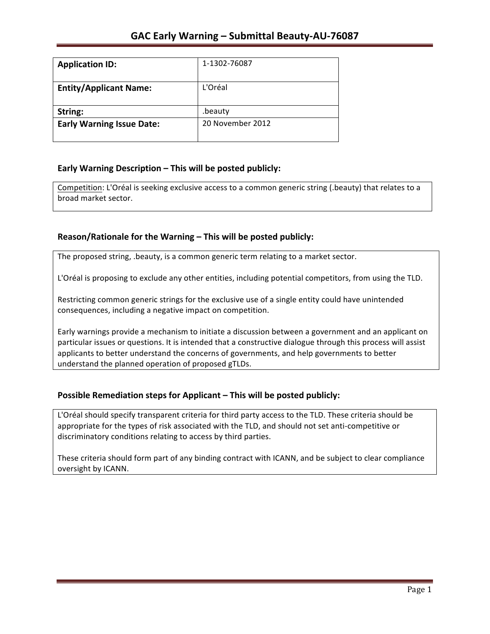| <b>Application ID:</b>           | 1-1302-76087     |
|----------------------------------|------------------|
| <b>Entity/Applicant Name:</b>    | L'Oréal          |
| String:                          | .beauty          |
| <b>Early Warning Issue Date:</b> | 20 November 2012 |

## **Early Warning Description – This will be posted publicly:**

Competition: L'Oréal is seeking exclusive access to a common generic string (.beauty) that relates to a broad market sector.

## Reason/Rationale for the Warning – This will be posted publicly:

The proposed string, .beauty, is a common generic term relating to a market sector.

L'Oréal is proposing to exclude any other entities, including potential competitors, from using the TLD.

Restricting common generic strings for the exclusive use of a single entity could have unintended consequences, including a negative impact on competition.

Early warnings provide a mechanism to initiate a discussion between a government and an applicant on particular issues or questions. It is intended that a constructive dialogue through this process will assist applicants to better understand the concerns of governments, and help governments to better understand the planned operation of proposed gTLDs.

### **Possible Remediation steps for Applicant – This will be posted publicly:**

L'Oréal should specify transparent criteria for third party access to the TLD. These criteria should be appropriate for the types of risk associated with the TLD, and should not set anti-competitive or discriminatory conditions relating to access by third parties.

These criteria should form part of any binding contract with ICANN, and be subject to clear compliance oversight by ICANN.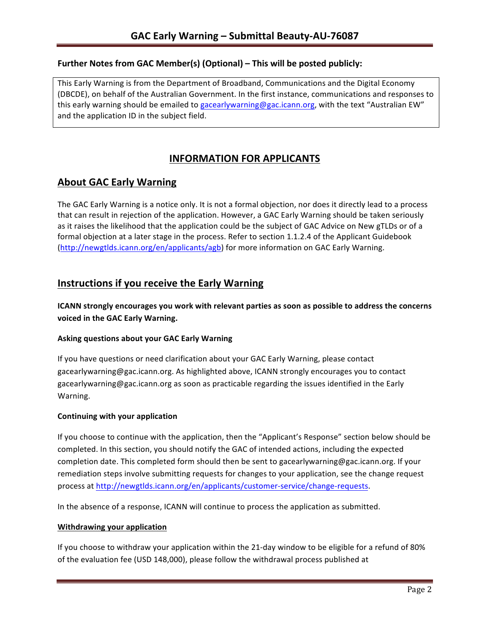### **Further Notes from GAC Member(s) (Optional) – This will be posted publicly:**

This Early Warning is from the Department of Broadband, Communications and the Digital Economy (DBCDE), on behalf of the Australian Government. In the first instance, communications and responses to this early warning should be emailed to gacearlywarning@gac.icann.org, with the text "Australian EW" and the application ID in the subject field.

# **INFORMATION FOR APPLICANTS**

# **About GAC Early Warning**

The GAC Early Warning is a notice only. It is not a formal objection, nor does it directly lead to a process that can result in rejection of the application. However, a GAC Early Warning should be taken seriously as it raises the likelihood that the application could be the subject of GAC Advice on New gTLDs or of a formal objection at a later stage in the process. Refer to section 1.1.2.4 of the Applicant Guidebook (http://newgtlds.icann.org/en/applicants/agb) for more information on GAC Early Warning.

## **Instructions if you receive the Early Warning**

**ICANN** strongly encourages you work with relevant parties as soon as possible to address the concerns **voiced in the GAC Early Warning.** 

#### **Asking questions about your GAC Early Warning**

If you have questions or need clarification about your GAC Early Warning, please contact gacearlywarning@gac.icann.org. As highlighted above, ICANN strongly encourages you to contact gacearlywarning@gac.icann.org as soon as practicable regarding the issues identified in the Early Warning. 

#### **Continuing with your application**

If you choose to continue with the application, then the "Applicant's Response" section below should be completed. In this section, you should notify the GAC of intended actions, including the expected completion date. This completed form should then be sent to gacearlywarning@gac.icann.org. If your remediation steps involve submitting requests for changes to your application, see the change request process at http://newgtlds.icann.org/en/applicants/customer-service/change-requests.

In the absence of a response, ICANN will continue to process the application as submitted.

#### **Withdrawing your application**

If you choose to withdraw your application within the 21-day window to be eligible for a refund of 80% of the evaluation fee (USD 148,000), please follow the withdrawal process published at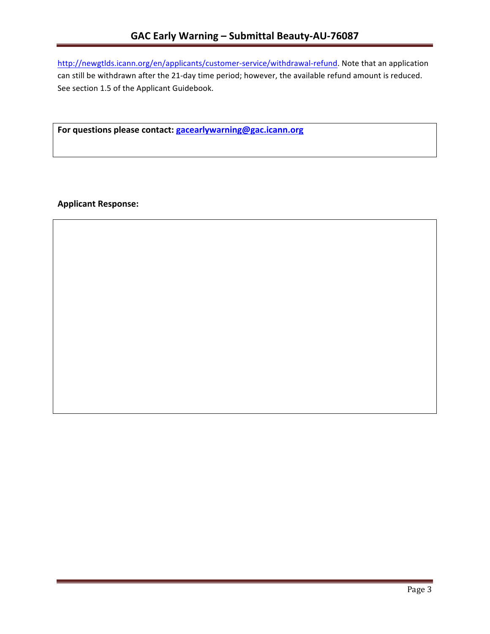http://newgtlds.icann.org/en/applicants/customer-service/withdrawal-refund. Note that an application can still be withdrawn after the 21-day time period; however, the available refund amount is reduced. See section 1.5 of the Applicant Guidebook.

For questions please contact: gacearlywarning@gac.icann.org

**Applicant Response:**